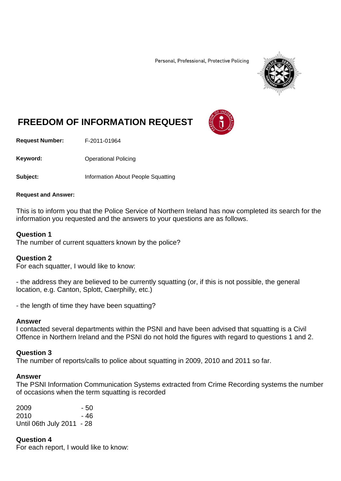Personal, Professional, Protective Policing



# **FREEDOM OF INFORMATION REQUEST**

**Request Number:** F-2011-01964

Keyword: **Channel Policing** Operational Policing

**Subject:** Information About People Squatting

#### **Request and Answer:**

This is to inform you that the Police Service of Northern Ireland has now completed its search for the information you requested and the answers to your questions are as follows.

#### **Question 1**

The number of current squatters known by the police?

### **Question 2**

For each squatter, I would like to know:

- the address they are believed to be currently squatting (or, if this is not possible, the general location, e.g. Canton, Splott, Caerphilly, etc.)

- the length of time they have been squatting?

#### **Answer**

I contacted several departments within the PSNI and have been advised that squatting is a Civil Offence in Northern Ireland and the PSNI do not hold the figures with regard to questions 1 and 2.

#### **Question 3**

The number of reports/calls to police about squatting in 2009, 2010 and 2011 so far.

#### **Answer**

The PSNI Information Communication Systems extracted from Crime Recording systems the number of occasions when the term squatting is recorded

| 2009                      | - 50 |
|---------------------------|------|
| 2010                      | - 46 |
| Until 06th July 2011 - 28 |      |

**Question 4** For each report, I would like to know: